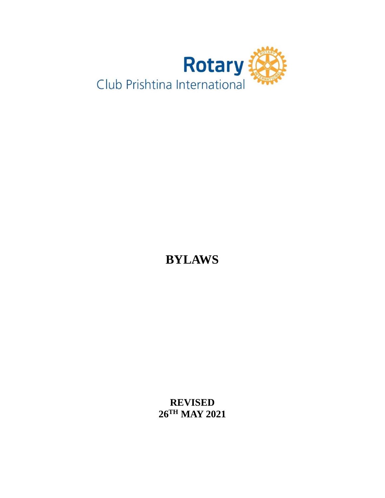

**BYLAWS**

**REVISED 26TH MAY 2021**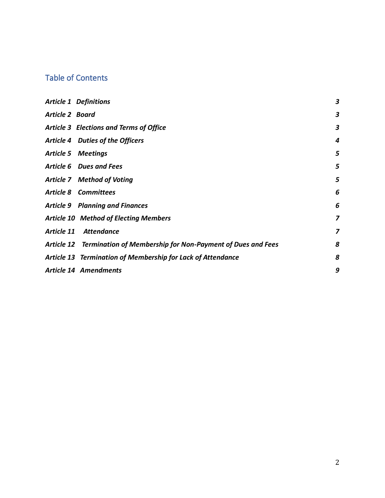# Table of Contents

|                        | <b>Article 1 Definitions</b>                                          | 3 |
|------------------------|-----------------------------------------------------------------------|---|
| <b>Article 2 Board</b> |                                                                       | 3 |
|                        | <b>Article 3 Elections and Terms of Office</b>                        | 3 |
|                        | Article 4 Duties of the Officers                                      | 4 |
|                        | <b>Article 5 Meetings</b>                                             | 5 |
|                        | Article 6 Dues and Fees                                               | 5 |
|                        | <b>Article 7 Method of Voting</b>                                     | 5 |
|                        | <b>Article 8 Committees</b>                                           | 6 |
|                        | <b>Article 9 Planning and Finances</b>                                | 6 |
|                        | <b>Article 10 Method of Electing Members</b>                          | 7 |
| Article 11             | <b>Attendance</b>                                                     | 7 |
|                        | Article 12 Termination of Membership for Non-Payment of Dues and Fees | 8 |
|                        | Article 13 Termination of Membership for Lack of Attendance           | 8 |
|                        | <b>Article 14 Amendments</b>                                          | 9 |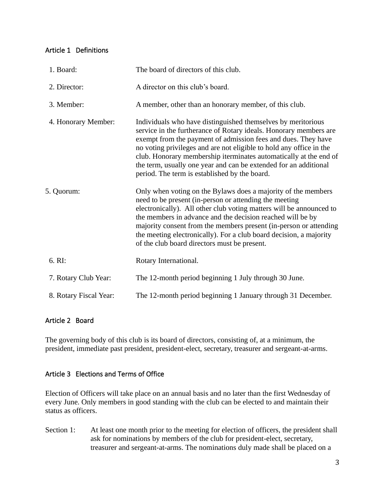## <span id="page-2-0"></span>Article 1 Definitions

| 1. Board:              | The board of directors of this club.                                                                                                                                                                                                                                                                                                                                                                                                                                |
|------------------------|---------------------------------------------------------------------------------------------------------------------------------------------------------------------------------------------------------------------------------------------------------------------------------------------------------------------------------------------------------------------------------------------------------------------------------------------------------------------|
| 2. Director:           | A director on this club's board.                                                                                                                                                                                                                                                                                                                                                                                                                                    |
| 3. Member:             | A member, other than an honorary member, of this club.                                                                                                                                                                                                                                                                                                                                                                                                              |
| 4. Honorary Member:    | Individuals who have distinguished themselves by meritorious<br>service in the furtherance of Rotary ideals. Honorary members are<br>exempt from the payment of admission fees and dues. They have<br>no voting privileges and are not eligible to hold any office in the<br>club. Honorary membership iterminates automatically at the end of<br>the term, usually one year and can be extended for an additional<br>period. The term is established by the board. |
| 5. Quorum:             | Only when voting on the Bylaws does a majority of the members<br>need to be present (in-person or attending the meeting<br>electronically). All other club voting matters will be announced to<br>the members in advance and the decision reached will be by<br>majority consent from the members present (in-person or attending<br>the meeting electronically). For a club board decision, a majority<br>of the club board directors must be present.             |
| 6. RI:                 | Rotary International.                                                                                                                                                                                                                                                                                                                                                                                                                                               |
| 7. Rotary Club Year:   | The 12-month period beginning 1 July through 30 June.                                                                                                                                                                                                                                                                                                                                                                                                               |
| 8. Rotary Fiscal Year: | The 12-month period beginning 1 January through 31 December.                                                                                                                                                                                                                                                                                                                                                                                                        |

## <span id="page-2-1"></span>Article 2 Board

The governing body of this club is its board of directors, consisting of, at a minimum, the president, immediate past president, president-elect, secretary, treasurer and sergeant-at-arms.

## <span id="page-2-2"></span>Article 3 Elections and Terms of Office

Election of Officers will take place on an annual basis and no later than the first Wednesday of every June. Only members in good standing with the club can be elected to and maintain their status as officers.

Section 1: At least one month prior to the meeting for election of officers, the president shall ask for nominations by members of the club for president-elect, secretary, treasurer and sergeant-at-arms. The nominations duly made shall be placed on a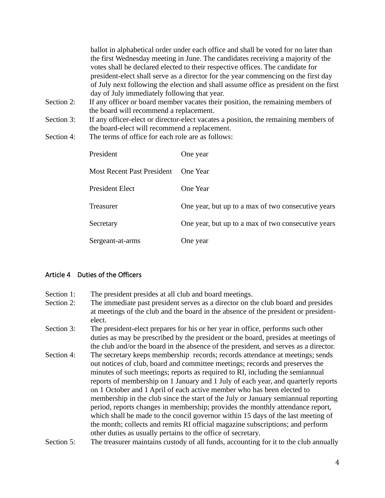ballot in alphabetical order under each office and shall be voted for no later than the first Wednesday meeting in June. The candidates receiving a majority of the votes shall be declared elected to their respective offices. The candidate for president-elect shall serve as a director for the year commencing on the first day of July next following the election and shall assume office as president on the first day of July immediately following that year.

- Section 2: If any officer or board member vacates their position, the remaining members of the board will recommend a replacement.
- Section 3: If any officer-elect or director-elect vacates a position, the remaining members of the board-elect will recommend a replacement.
- Section 4: The terms of office for each role are as follows:

| President                  | One year                                           |
|----------------------------|----------------------------------------------------|
| Most Recent Past President | <b>One Year</b>                                    |
| President Elect            | <b>One Year</b>                                    |
| Treasurer                  | One year, but up to a max of two consecutive years |
| Secretary                  | One year, but up to a max of two consecutive years |
| Sergeant-at-arms           | One year                                           |

## <span id="page-3-0"></span>Article 4 Duties of the Officers

- Section 1: The president presides at all club and board meetings.
- Section 2: The immediate past president serves as a director on the club board and presides at meetings of the club and the board in the absence of the president or presidentelect.
- Section 3: The president-elect prepares for his or her year in office, performs such other duties as may be prescribed by the president or the board, presides at meetings of the club and/or the board in the absence of the president, and serves as a director.
- Section 4: The secretary keeps membership records; records attendance at meetings; sends out notices of club, board and committee meetings; records and preserves the minutes of such meetings; reports as required to RI, including the semiannual reports of membership on 1 January and 1 July of each year, and quarterly reports on 1 October and 1 April of each active member who has been elected to membership in the club since the start of the July or January semiannual reporting period, reports changes in membership; provides the monthly attendance report, which shall be made to the concil governor within 15 days of the last meeting of the month; collects and remits RI official magazine subscriptions; and perform other duties as usually pertains to the office of secretary.
- Section 5: The treasurer maintains custody of all funds, accounting for it to the club annually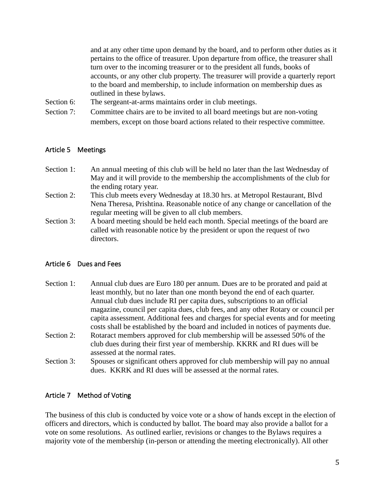and at any other time upon demand by the board, and to perform other duties as it pertains to the office of treasurer. Upon departure from office, the treasurer shall turn over to the incoming treasurer or to the president all funds, books of accounts, or any other club property. The treasurer will provide a quarterly report to the board and membership, to include information on membership dues as outlined in these bylaws.

- Section 6: The sergeant-at-arms maintains order in club meetings.
- Section 7: Committee chairs are to be invited to all board meetings but are non-voting members, except on those board actions related to their respective committee.

#### <span id="page-4-0"></span>Article 5 Meetings

- Section 1: An annual meeting of this club will be held no later than the last Wednesday of May and it will provide to the membership the accomplishments of the club for the ending rotary year.
- Section 2: This club meets every Wednesday at 18.30 hrs. at Metropol Restaurant, Blvd Nena Theresa, Prishtina. Reasonable notice of any change or cancellation of the regular meeting will be given to all club members.
- Section 3: A board meeting should be held each month. Special meetings of the board are called with reasonable notice by the president or upon the request of two directors.

#### <span id="page-4-1"></span>Article 6 Dues and Fees

- Section 1: Annual club dues are Euro 180 per annum. Dues are to be prorated and paid at least monthly, but no later than one month beyond the end of each quarter. Annual club dues include RI per capita dues, subscriptions to an official magazine, council per capita dues, club fees, and any other Rotary or council per capita assessment. Additional fees and charges for special events and for meeting costs shall be established by the board and included in notices of payments due.
- Section 2: Rotaract members approved for club membership will be assessed 50% of the club dues during their first year of membership. KKRK and RI dues will be assessed at the normal rates.
- Section 3: Spouses or significant others approved for club membership will pay no annual dues. KKRK and RI dues will be assessed at the normal rates.

## <span id="page-4-2"></span>Article 7 Method of Voting

The business of this club is conducted by voice vote or a show of hands except in the election of officers and directors, which is conducted by ballot. The board may also provide a ballot for a vote on some resolutions. As outlined earlier, revisions or changes to the Bylaws requires a majority vote of the membership (in-person or attending the meeting electronically). All other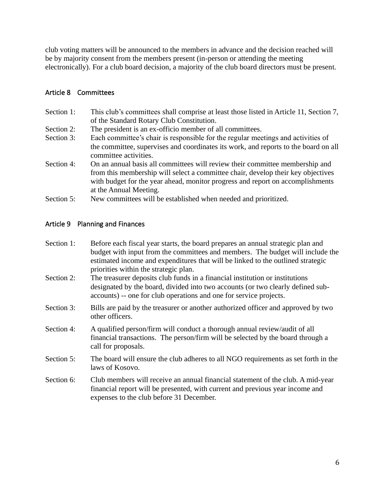club voting matters will be announced to the members in advance and the decision reached will be by majority consent from the members present (in-person or attending the meeting electronically). For a club board decision, a majority of the club board directors must be present.

## <span id="page-5-0"></span>Article 8 Committees

- Section 1: This club's committees shall comprise at least those listed in Article 11, Section 7, of the Standard Rotary Club Constitution.
- Section 2: The president is an ex-officio member of all committees.
- Section 3: Each committee's chair is responsible for the regular meetings and activities of the committee, supervises and coordinates its work, and reports to the board on all committee activities.
- Section 4: On an annual basis all committees will review their committee membership and from this membership will select a committee chair, develop their key objectives with budget for the year ahead, monitor progress and report on accomplishments at the Annual Meeting.
- Section 5: New committees will be established when needed and prioritized.

## <span id="page-5-1"></span>Article 9 Planning and Finances

| Section 1: | Before each fiscal year starts, the board prepares an annual strategic plan and<br>budget with input from the committees and members. The budget will include the<br>estimated income and expenditures that will be linked to the outlined strategic<br>priorities within the strategic plan. |  |
|------------|-----------------------------------------------------------------------------------------------------------------------------------------------------------------------------------------------------------------------------------------------------------------------------------------------|--|
| Section 2: | The treasurer deposits club funds in a financial institution or institutions<br>designated by the board, divided into two accounts (or two clearly defined sub-<br>accounts) -- one for club operations and one for service projects.                                                         |  |
| Section 3: | Bills are paid by the treasurer or another authorized officer and approved by two<br>other officers.                                                                                                                                                                                          |  |
| Section 4: | A qualified person/firm will conduct a thorough annual review/audit of all<br>financial transactions. The person/firm will be selected by the board through a<br>call for proposals.                                                                                                          |  |
| Section 5: | The board will ensure the club adheres to all NGO requirements as set forth in the<br>laws of Kosovo.                                                                                                                                                                                         |  |
| Section 6: | Club members will receive an annual financial statement of the club. A mid-year<br>financial report will be presented, with current and previous year income and<br>expenses to the club before 31 December.                                                                                  |  |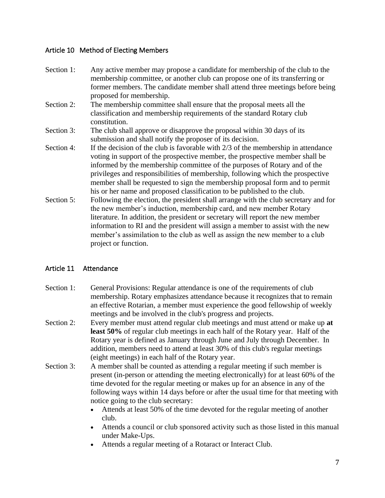## <span id="page-6-0"></span>Article 10 Method of Electing Members

- Section 1: Any active member may propose a candidate for membership of the club to the membership committee, or another club can propose one of its transferring or former members. The candidate member shall attend three meetings before being proposed for membership.
- Section 2: The membership committee shall ensure that the proposal meets all the classification and membership requirements of the standard Rotary club constitution.
- Section 3: The club shall approve or disapprove the proposal within 30 days of its submission and shall notify the proposer of its decision.
- Section 4: If the decision of the club is favorable with 2/3 of the membership in attendance voting in support of the prospective member, the prospective member shall be informed by the membership committee of the purposes of Rotary and of the privileges and responsibilities of membership, following which the prospective member shall be requested to sign the membership proposal form and to permit his or her name and proposed classification to be published to the club.
- Section 5: Following the election, the president shall arrange with the club secretary and for the new member's induction, membership card, and new member Rotary literature. In addition, the president or secretary will report the new member information to RI and the president will assign a member to assist with the new member's assimilation to the club as well as assign the new member to a club project or function.

# <span id="page-6-1"></span>Article 11 Attendance

- Section 1: General Provisions: Regular attendance is one of the requirements of club membership. Rotary emphasizes attendance because it recognizes that to remain an effective Rotarian, a member must experience the good fellowship of weekly meetings and be involved in the club's progress and projects.
- Section 2: Every member must attend regular club meetings and must attend or make up **at least 50%** of regular club meetings in each half of the Rotary year. Half of the Rotary year is defined as January through June and July through December. In addition, members need to attend at least 30% of this club's regular meetings (eight meetings) in each half of the Rotary year.
- Section 3: A member shall be counted as attending a regular meeting if such member is present (in-person or attending the meeting electronically) for at least 60% of the time devoted for the regular meeting or makes up for an absence in any of the following ways within 14 days before or after the usual time for that meeting with notice going to the club secretary:
	- Attends at least 50% of the time devoted for the regular meeting of another club.
	- Attends a council or club sponsored activity such as those listed in this manual under Make-Ups.
	- Attends a regular meeting of a Rotaract or Interact Club.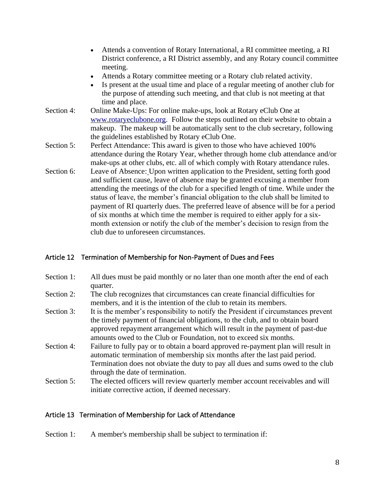- Attends a convention of Rotary International, a RI committee meeting, a RI District conference, a RI District assembly, and any Rotary council committee meeting.
- Attends a Rotary committee meeting or a Rotary club related activity.
- Is present at the usual time and place of a regular meeting of another club for the purpose of attending such meeting, and that club is not meeting at that time and place.
- Section 4: Online Make-Ups: For online make-ups, look at Rotary eClub One at [www.rotaryeclubone.org.](http://www.rotaryeclubone.org/) Follow the steps outlined on their website to obtain a makeup. The makeup will be automatically sent to the club secretary, following the guidelines established by Rotary eClub One.
- Section 5: Perfect Attendance: This award is given to those who have achieved 100% attendance during the Rotary Year, whether through home club attendance and/or make-ups at other clubs, etc. all of which comply with Rotary attendance rules.
- Section 6: Leave of Absence: Upon written application to the President, setting forth good and sufficient cause, leave of absence may be granted excusing a member from attending the meetings of the club for a specified length of time. While under the status of leave, the member's financial obligation to the club shall be limited to payment of RI quarterly dues. The preferred leave of absence will be for a period of six months at which time the member is required to either apply for a sixmonth extension or notify the club of the member's decision to resign from the club due to unforeseen circumstances.

## <span id="page-7-0"></span>Article 12 Termination of Membership for Non-Payment of Dues and Fees

- Section 1: All dues must be paid monthly or no later than one month after the end of each quarter.
- Section 2: The club recognizes that circumstances can create financial difficulties for members, and it is the intention of the club to retain its members.
- Section 3: It is the member's responsibility to notify the President if circumstances prevent the timely payment of financial obligations, to the club, and to obtain board approved repayment arrangement which will result in the payment of past-due amounts owed to the Club or Foundation, not to exceed six months.
- Section 4: Failure to fully pay or to obtain a board approved re-payment plan will result in automatic termination of membership six months after the last paid period. Termination does not obviate the duty to pay all dues and sums owed to the club through the date of termination.
- Section 5: The elected officers will review quarterly member account receivables and will initiate corrective action, if deemed necessary.

#### <span id="page-7-1"></span>Article 13 Termination of Membership for Lack of Attendance

Section 1: A member's membership shall be subject to termination if: